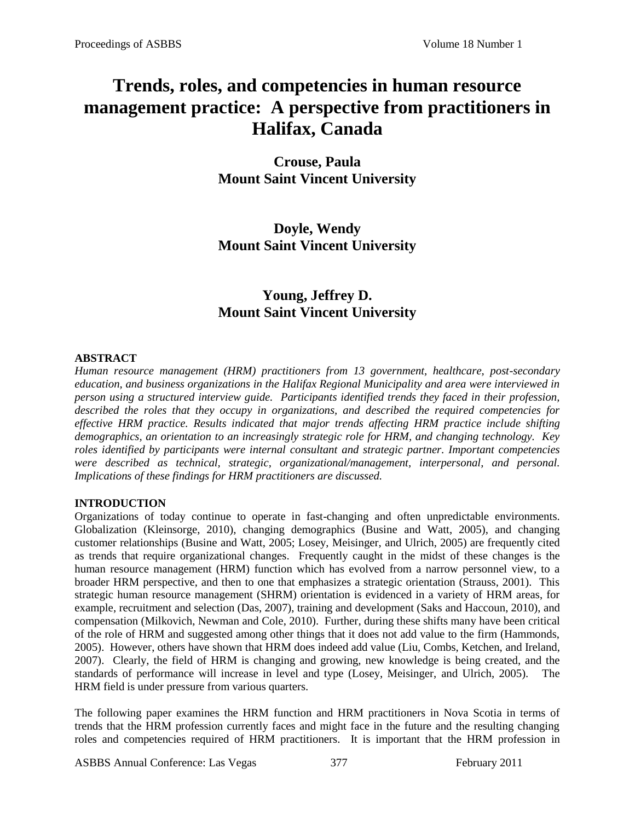# **Trends, roles, and competencies in human resource management practice: A perspective from practitioners in Halifax, Canada**

**Crouse, Paula Mount Saint Vincent University**

**Doyle, Wendy Mount Saint Vincent University**

# **Young, Jeffrey D. Mount Saint Vincent University**

#### **ABSTRACT**

*Human resource management (HRM) practitioners from 13 government, healthcare, post-secondary education, and business organizations in the Halifax Regional Municipality and area were interviewed in person using a structured interview guide. Participants identified trends they faced in their profession, described the roles that they occupy in organizations, and described the required competencies for effective HRM practice. Results indicated that major trends affecting HRM practice include shifting demographics, an orientation to an increasingly strategic role for HRM, and changing technology. Key roles identified by participants were internal consultant and strategic partner. Important competencies were described as technical, strategic, organizational/management, interpersonal, and personal. Implications of these findings for HRM practitioners are discussed.*

#### **INTRODUCTION**

Organizations of today continue to operate in fast-changing and often unpredictable environments. Globalization (Kleinsorge, 2010), changing demographics (Busine and Watt, 2005), and changing customer relationships (Busine and Watt, 2005; Losey, Meisinger, and Ulrich, 2005) are frequently cited as trends that require organizational changes. Frequently caught in the midst of these changes is the human resource management (HRM) function which has evolved from a narrow personnel view, to a broader HRM perspective, and then to one that emphasizes a strategic orientation (Strauss, 2001). This strategic human resource management (SHRM) orientation is evidenced in a variety of HRM areas, for example, recruitment and selection (Das, 2007), training and development (Saks and Haccoun, 2010), and compensation (Milkovich, Newman and Cole, 2010). Further, during these shifts many have been critical of the role of HRM and suggested among other things that it does not add value to the firm (Hammonds, 2005). However, others have shown that HRM does indeed add value (Liu, Combs, Ketchen, and Ireland, 2007). Clearly, the field of HRM is changing and growing, new knowledge is being created, and the standards of performance will increase in level and type (Losey, Meisinger, and Ulrich, 2005). The HRM field is under pressure from various quarters.

The following paper examines the HRM function and HRM practitioners in Nova Scotia in terms of trends that the HRM profession currently faces and might face in the future and the resulting changing roles and competencies required of HRM practitioners. It is important that the HRM profession in

ASBBS Annual Conference: Las Vegas 377 February 2011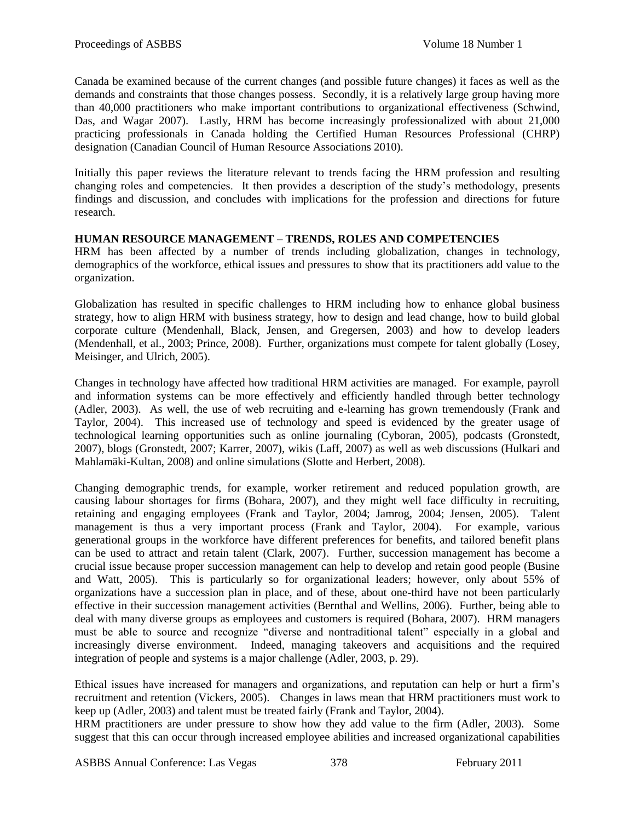Canada be examined because of the current changes (and possible future changes) it faces as well as the demands and constraints that those changes possess. Secondly, it is a relatively large group having more than 40,000 practitioners who make important contributions to organizational effectiveness (Schwind, Das, and Wagar 2007). Lastly, HRM has become increasingly professionalized with about 21,000 practicing professionals in Canada holding the Certified Human Resources Professional (CHRP) designation (Canadian Council of Human Resource Associations 2010).

Initially this paper reviews the literature relevant to trends facing the HRM profession and resulting changing roles and competencies. It then provides a description of the study's methodology, presents findings and discussion, and concludes with implications for the profession and directions for future research.

# **HUMAN RESOURCE MANAGEMENT – TRENDS, ROLES AND COMPETENCIES**

HRM has been affected by a number of trends including globalization, changes in technology, demographics of the workforce, ethical issues and pressures to show that its practitioners add value to the organization.

Globalization has resulted in specific challenges to HRM including how to enhance global business strategy, how to align HRM with business strategy, how to design and lead change, how to build global corporate culture (Mendenhall, Black, Jensen, and Gregersen, 2003) and how to develop leaders (Mendenhall, et al., 2003; Prince, 2008). Further, organizations must compete for talent globally (Losey, Meisinger, and Ulrich, 2005).

Changes in technology have affected how traditional HRM activities are managed. For example, payroll and information systems can be more effectively and efficiently handled through better technology (Adler, 2003). As well, the use of web recruiting and e-learning has grown tremendously (Frank and Taylor, 2004). This increased use of technology and speed is evidenced by the greater usage of technological learning opportunities such as online journaling (Cyboran, 2005), podcasts (Gronstedt, 2007), blogs (Gronstedt, 2007; Karrer, 2007), wikis (Laff, 2007) as well as web discussions (Hulkari and Mahlamäki-Kultan, 2008) and online simulations (Slotte and Herbert, 2008).

Changing demographic trends, for example, worker retirement and reduced population growth, are causing labour shortages for firms (Bohara, 2007), and they might well face difficulty in recruiting, retaining and engaging employees (Frank and Taylor, 2004; Jamrog, 2004; Jensen, 2005). Talent management is thus a very important process (Frank and Taylor, 2004). For example, various generational groups in the workforce have different preferences for benefits, and tailored benefit plans can be used to attract and retain talent (Clark, 2007). Further, succession management has become a crucial issue because proper succession management can help to develop and retain good people (Busine and Watt, 2005). This is particularly so for organizational leaders; however, only about 55% of organizations have a succession plan in place, and of these, about one-third have not been particularly effective in their succession management activities (Bernthal and Wellins, 2006). Further, being able to deal with many diverse groups as employees and customers is required (Bohara, 2007). HRM managers must be able to source and recognize "diverse and nontraditional talent" especially in a global and increasingly diverse environment. Indeed, managing takeovers and acquisitions and the required integration of people and systems is a major challenge (Adler, 2003, p. 29).

Ethical issues have increased for managers and organizations, and reputation can help or hurt a firm's recruitment and retention (Vickers, 2005). Changes in laws mean that HRM practitioners must work to keep up (Adler, 2003) and talent must be treated fairly (Frank and Taylor, 2004).

HRM practitioners are under pressure to show how they add value to the firm (Adler, 2003). Some suggest that this can occur through increased employee abilities and increased organizational capabilities

ASBBS Annual Conference: Las Vegas 378 February 2011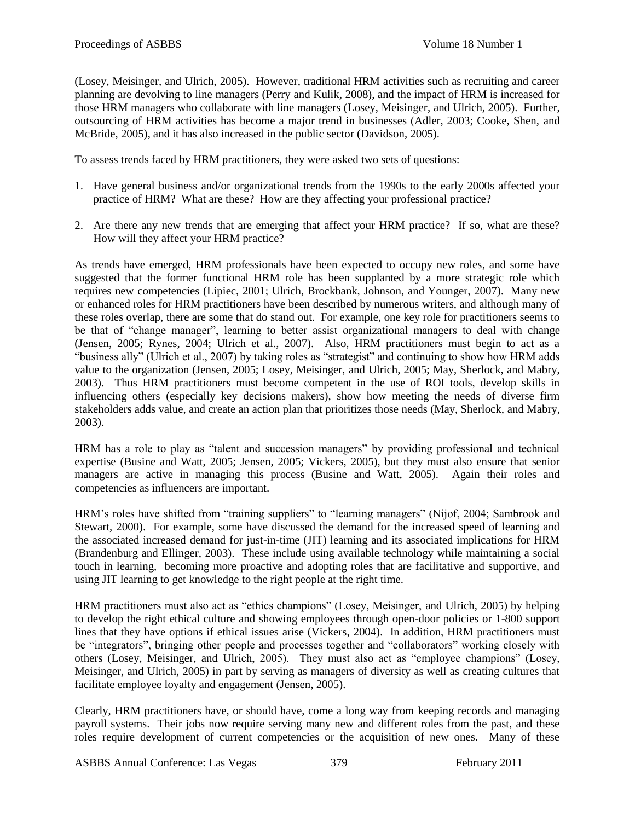(Losey, Meisinger, and Ulrich, 2005). However, traditional HRM activities such as recruiting and career planning are devolving to line managers (Perry and Kulik, 2008), and the impact of HRM is increased for those HRM managers who collaborate with line managers (Losey, Meisinger, and Ulrich, 2005). Further, outsourcing of HRM activities has become a major trend in businesses (Adler, 2003; Cooke, Shen, and McBride, 2005), and it has also increased in the public sector (Davidson, 2005).

To assess trends faced by HRM practitioners, they were asked two sets of questions:

- 1. Have general business and/or organizational trends from the 1990s to the early 2000s affected your practice of HRM? What are these? How are they affecting your professional practice?
- 2. Are there any new trends that are emerging that affect your HRM practice? If so, what are these? How will they affect your HRM practice?

As trends have emerged, HRM professionals have been expected to occupy new roles, and some have suggested that the former functional HRM role has been supplanted by a more strategic role which requires new competencies (Lipiec, 2001; Ulrich, Brockbank, Johnson, and Younger, 2007). Many new or enhanced roles for HRM practitioners have been described by numerous writers, and although many of these roles overlap, there are some that do stand out. For example, one key role for practitioners seems to be that of "change manager", learning to better assist organizational managers to deal with change (Jensen, 2005; Rynes, 2004; Ulrich et al., 2007). Also, HRM practitioners must begin to act as a "business ally" (Ulrich et al., 2007) by taking roles as "strategist" and continuing to show how HRM adds value to the organization (Jensen, 2005; Losey, Meisinger, and Ulrich, 2005; May, Sherlock, and Mabry, 2003). Thus HRM practitioners must become competent in the use of ROI tools, develop skills in influencing others (especially key decisions makers), show how meeting the needs of diverse firm stakeholders adds value, and create an action plan that prioritizes those needs (May, Sherlock, and Mabry, 2003).

HRM has a role to play as "talent and succession managers" by providing professional and technical expertise (Busine and Watt, 2005; Jensen, 2005; Vickers, 2005), but they must also ensure that senior managers are active in managing this process (Busine and Watt, 2005). Again their roles and competencies as influencers are important.

HRM's roles have shifted from "training suppliers" to "learning managers" (Nijof, 2004; Sambrook and Stewart, 2000). For example, some have discussed the demand for the increased speed of learning and the associated increased demand for just-in-time (JIT) learning and its associated implications for HRM (Brandenburg and Ellinger, 2003). These include using available technology while maintaining a social touch in learning, becoming more proactive and adopting roles that are facilitative and supportive, and using JIT learning to get knowledge to the right people at the right time.

HRM practitioners must also act as "ethics champions" (Losey, Meisinger, and Ulrich, 2005) by helping to develop the right ethical culture and showing employees through open-door policies or 1-800 support lines that they have options if ethical issues arise (Vickers, 2004). In addition, HRM practitioners must be "integrators", bringing other people and processes together and "collaborators" working closely with others (Losey, Meisinger, and Ulrich, 2005). They must also act as "employee champions" (Losey, Meisinger, and Ulrich, 2005) in part by serving as managers of diversity as well as creating cultures that facilitate employee loyalty and engagement (Jensen, 2005).

Clearly, HRM practitioners have, or should have, come a long way from keeping records and managing payroll systems. Their jobs now require serving many new and different roles from the past, and these roles require development of current competencies or the acquisition of new ones. Many of these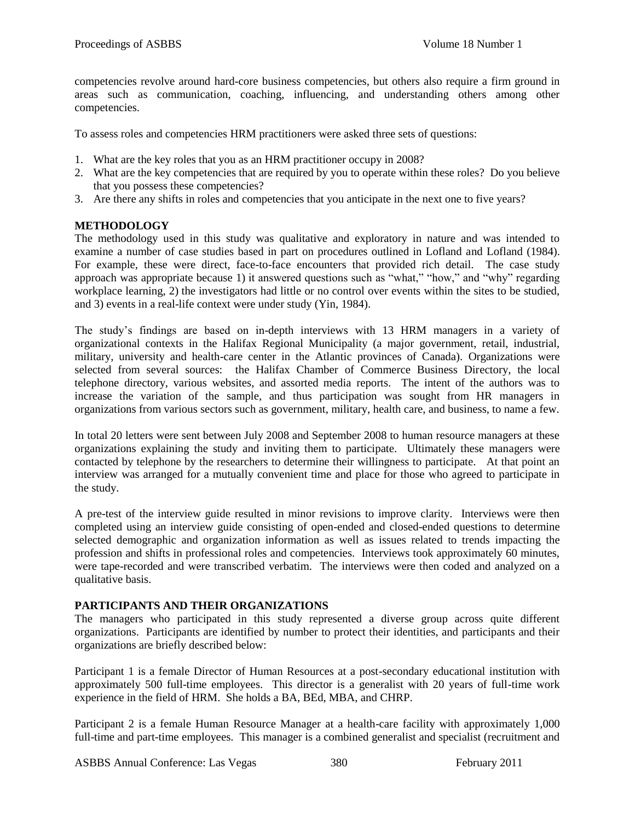competencies revolve around hard-core business competencies, but others also require a firm ground in areas such as communication, coaching, influencing, and understanding others among other competencies.

To assess roles and competencies HRM practitioners were asked three sets of questions:

- 1. What are the key roles that you as an HRM practitioner occupy in 2008?
- 2. What are the key competencies that are required by you to operate within these roles? Do you believe that you possess these competencies?
- 3. Are there any shifts in roles and competencies that you anticipate in the next one to five years?

# **METHODOLOGY**

The methodology used in this study was qualitative and exploratory in nature and was intended to examine a number of case studies based in part on procedures outlined in Lofland and Lofland (1984). For example, these were direct, face-to-face encounters that provided rich detail. The case study approach was appropriate because 1) it answered questions such as "what," "how," and "why" regarding workplace learning, 2) the investigators had little or no control over events within the sites to be studied, and 3) events in a real-life context were under study (Yin, 1984).

The study's findings are based on in-depth interviews with 13 HRM managers in a variety of organizational contexts in the Halifax Regional Municipality (a major government, retail, industrial, military, university and health-care center in the Atlantic provinces of Canada). Organizations were selected from several sources: the Halifax Chamber of Commerce Business Directory, the local telephone directory, various websites, and assorted media reports. The intent of the authors was to increase the variation of the sample, and thus participation was sought from HR managers in organizations from various sectors such as government, military, health care, and business, to name a few.

In total 20 letters were sent between July 2008 and September 2008 to human resource managers at these organizations explaining the study and inviting them to participate. Ultimately these managers were contacted by telephone by the researchers to determine their willingness to participate. At that point an interview was arranged for a mutually convenient time and place for those who agreed to participate in the study.

A pre-test of the interview guide resulted in minor revisions to improve clarity. Interviews were then completed using an interview guide consisting of open-ended and closed-ended questions to determine selected demographic and organization information as well as issues related to trends impacting the profession and shifts in professional roles and competencies. Interviews took approximately 60 minutes, were tape-recorded and were transcribed verbatim. The interviews were then coded and analyzed on a qualitative basis.

# **PARTICIPANTS AND THEIR ORGANIZATIONS**

The managers who participated in this study represented a diverse group across quite different organizations. Participants are identified by number to protect their identities, and participants and their organizations are briefly described below:

Participant 1 is a female Director of Human Resources at a post-secondary educational institution with approximately 500 full-time employees. This director is a generalist with 20 years of full-time work experience in the field of HRM. She holds a BA, BEd, MBA, and CHRP.

Participant 2 is a female Human Resource Manager at a health-care facility with approximately 1,000 full-time and part-time employees. This manager is a combined generalist and specialist (recruitment and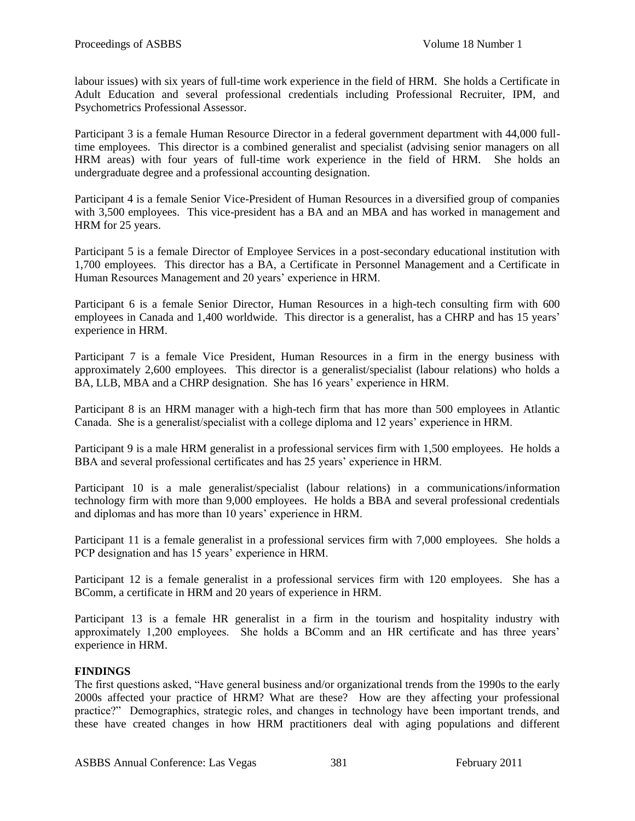labour issues) with six years of full-time work experience in the field of HRM. She holds a Certificate in Adult Education and several professional credentials including Professional Recruiter, IPM, and Psychometrics Professional Assessor.

Participant 3 is a female Human Resource Director in a federal government department with 44,000 fulltime employees. This director is a combined generalist and specialist (advising senior managers on all HRM areas) with four years of full-time work experience in the field of HRM. She holds an undergraduate degree and a professional accounting designation.

Participant 4 is a female Senior Vice-President of Human Resources in a diversified group of companies with 3,500 employees. This vice-president has a BA and an MBA and has worked in management and HRM for 25 years.

Participant 5 is a female Director of Employee Services in a post-secondary educational institution with 1,700 employees. This director has a BA, a Certificate in Personnel Management and a Certificate in Human Resources Management and 20 years' experience in HRM.

Participant 6 is a female Senior Director, Human Resources in a high-tech consulting firm with 600 employees in Canada and 1,400 worldwide. This director is a generalist, has a CHRP and has 15 years' experience in HRM.

Participant 7 is a female Vice President, Human Resources in a firm in the energy business with approximately 2,600 employees. This director is a generalist/specialist (labour relations) who holds a BA, LLB, MBA and a CHRP designation. She has 16 years' experience in HRM.

Participant 8 is an HRM manager with a high-tech firm that has more than 500 employees in Atlantic Canada. She is a generalist/specialist with a college diploma and 12 years' experience in HRM.

Participant 9 is a male HRM generalist in a professional services firm with 1,500 employees. He holds a BBA and several professional certificates and has 25 years' experience in HRM.

Participant 10 is a male generalist/specialist (labour relations) in a communications/information technology firm with more than 9,000 employees. He holds a BBA and several professional credentials and diplomas and has more than 10 years' experience in HRM.

Participant 11 is a female generalist in a professional services firm with 7,000 employees. She holds a PCP designation and has 15 years' experience in HRM.

Participant 12 is a female generalist in a professional services firm with 120 employees. She has a BComm, a certificate in HRM and 20 years of experience in HRM.

Participant 13 is a female HR generalist in a firm in the tourism and hospitality industry with approximately 1,200 employees. She holds a BComm and an HR certificate and has three years' experience in HRM.

#### **FINDINGS**

The first questions asked, "Have general business and/or organizational trends from the 1990s to the early 2000s affected your practice of HRM? What are these? How are they affecting your professional practice?‖ Demographics, strategic roles, and changes in technology have been important trends, and these have created changes in how HRM practitioners deal with aging populations and different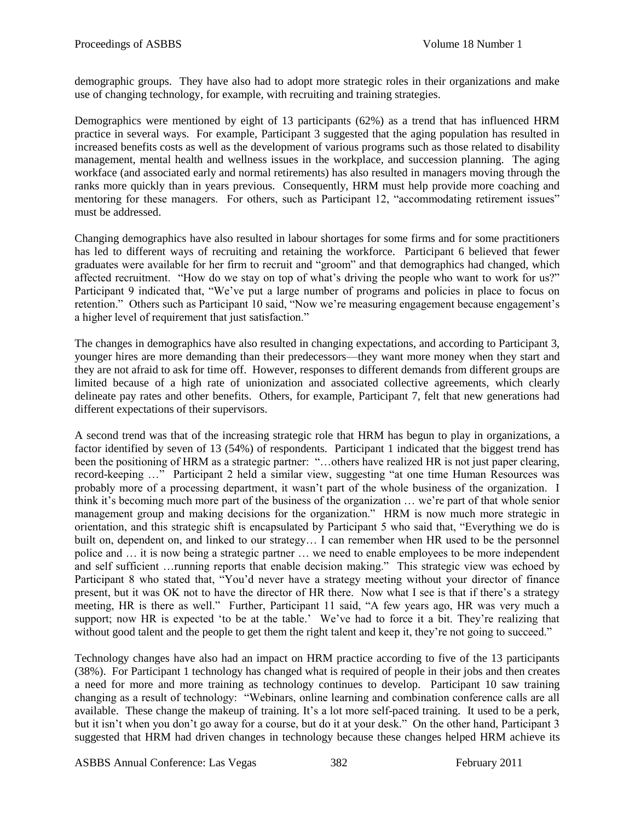demographic groups. They have also had to adopt more strategic roles in their organizations and make use of changing technology, for example, with recruiting and training strategies.

Demographics were mentioned by eight of 13 participants (62%) as a trend that has influenced HRM practice in several ways. For example, Participant 3 suggested that the aging population has resulted in increased benefits costs as well as the development of various programs such as those related to disability management, mental health and wellness issues in the workplace, and succession planning. The aging workface (and associated early and normal retirements) has also resulted in managers moving through the ranks more quickly than in years previous. Consequently, HRM must help provide more coaching and mentoring for these managers. For others, such as Participant 12, "accommodating retirement issues" must be addressed.

Changing demographics have also resulted in labour shortages for some firms and for some practitioners has led to different ways of recruiting and retaining the workforce. Participant 6 believed that fewer graduates were available for her firm to recruit and "groom" and that demographics had changed, which affected recruitment. "How do we stay on top of what's driving the people who want to work for us?" Participant 9 indicated that, "We've put a large number of programs and policies in place to focus on retention." Others such as Participant 10 said, "Now we're measuring engagement because engagement's a higher level of requirement that just satisfaction."

The changes in demographics have also resulted in changing expectations, and according to Participant 3, younger hires are more demanding than their predecessors—they want more money when they start and they are not afraid to ask for time off. However, responses to different demands from different groups are limited because of a high rate of unionization and associated collective agreements, which clearly delineate pay rates and other benefits. Others, for example, Participant 7, felt that new generations had different expectations of their supervisors.

A second trend was that of the increasing strategic role that HRM has begun to play in organizations, a factor identified by seven of 13 (54%) of respondents. Participant 1 indicated that the biggest trend has been the positioning of HRM as a strategic partner: "...others have realized HR is not just paper clearing, record-keeping ..." Participant 2 held a similar view, suggesting "at one time Human Resources was probably more of a processing department, it wasn't part of the whole business of the organization. I think it's becoming much more part of the business of the organization … we're part of that whole senior management group and making decisions for the organization." HRM is now much more strategic in orientation, and this strategic shift is encapsulated by Participant 5 who said that, "Everything we do is built on, dependent on, and linked to our strategy… I can remember when HR used to be the personnel police and … it is now being a strategic partner … we need to enable employees to be more independent and self sufficient …running reports that enable decision making." This strategic view was echoed by Participant 8 who stated that, "You'd never have a strategy meeting without your director of finance present, but it was OK not to have the director of HR there. Now what I see is that if there's a strategy meeting, HR is there as well." Further, Participant 11 said, "A few years ago, HR was very much a support; now HR is expected 'to be at the table.' We've had to force it a bit. They're realizing that without good talent and the people to get them the right talent and keep it, they're not going to succeed."

Technology changes have also had an impact on HRM practice according to five of the 13 participants (38%). For Participant 1 technology has changed what is required of people in their jobs and then creates a need for more and more training as technology continues to develop. Participant 10 saw training changing as a result of technology: "Webinars, online learning and combination conference calls are all available. These change the makeup of training. It's a lot more self-paced training. It used to be a perk, but it isn't when you don't go away for a course, but do it at your desk." On the other hand, Participant 3 suggested that HRM had driven changes in technology because these changes helped HRM achieve its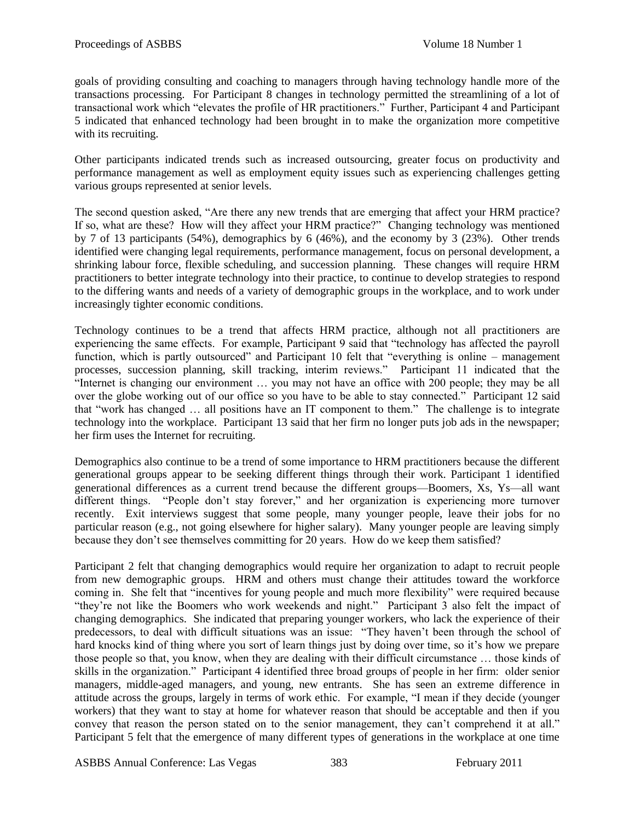goals of providing consulting and coaching to managers through having technology handle more of the transactions processing. For Participant 8 changes in technology permitted the streamlining of a lot of transactional work which "elevates the profile of HR practitioners." Further, Participant 4 and Participant 5 indicated that enhanced technology had been brought in to make the organization more competitive with its recruiting.

Other participants indicated trends such as increased outsourcing, greater focus on productivity and performance management as well as employment equity issues such as experiencing challenges getting various groups represented at senior levels.

The second question asked, "Are there any new trends that are emerging that affect your HRM practice? If so, what are these? How will they affect your HRM practice?" Changing technology was mentioned by 7 of 13 participants (54%), demographics by 6 (46%), and the economy by 3 (23%). Other trends identified were changing legal requirements, performance management, focus on personal development, a shrinking labour force, flexible scheduling, and succession planning. These changes will require HRM practitioners to better integrate technology into their practice, to continue to develop strategies to respond to the differing wants and needs of a variety of demographic groups in the workplace, and to work under increasingly tighter economic conditions.

Technology continues to be a trend that affects HRM practice, although not all practitioners are experiencing the same effects. For example, Participant 9 said that "technology has affected the payroll function, which is partly outsourced" and Participant 10 felt that "everything is online – management processes, succession planning, skill tracking, interim reviews.‖ Participant 11 indicated that the "Internet is changing our environment  $\ldots$  you may not have an office with 200 people; they may be all over the globe working out of our office so you have to be able to stay connected." Participant 12 said that "work has changed ... all positions have an IT component to them." The challenge is to integrate technology into the workplace. Participant 13 said that her firm no longer puts job ads in the newspaper; her firm uses the Internet for recruiting.

Demographics also continue to be a trend of some importance to HRM practitioners because the different generational groups appear to be seeking different things through their work. Participant 1 identified generational differences as a current trend because the different groups—Boomers, Xs, Ys—all want different things. "People don't stay forever," and her organization is experiencing more turnover recently. Exit interviews suggest that some people, many younger people, leave their jobs for no particular reason (e.g., not going elsewhere for higher salary). Many younger people are leaving simply because they don't see themselves committing for 20 years. How do we keep them satisfied?

Participant 2 felt that changing demographics would require her organization to adapt to recruit people from new demographic groups. HRM and others must change their attitudes toward the workforce coming in. She felt that "incentives for young people and much more flexibility" were required because ―they're not like the Boomers who work weekends and night.‖ Participant 3 also felt the impact of changing demographics. She indicated that preparing younger workers, who lack the experience of their predecessors, to deal with difficult situations was an issue: "They haven't been through the school of hard knocks kind of thing where you sort of learn things just by doing over time, so it's how we prepare those people so that, you know, when they are dealing with their difficult circumstance … those kinds of skills in the organization." Participant 4 identified three broad groups of people in her firm: older senior managers, middle-aged managers, and young, new entrants. She has seen an extreme difference in attitude across the groups, largely in terms of work ethic. For example, "I mean if they decide (younger workers) that they want to stay at home for whatever reason that should be acceptable and then if you convey that reason the person stated on to the senior management, they can't comprehend it at all." Participant 5 felt that the emergence of many different types of generations in the workplace at one time

ASBBS Annual Conference: Las Vegas 383 February 2011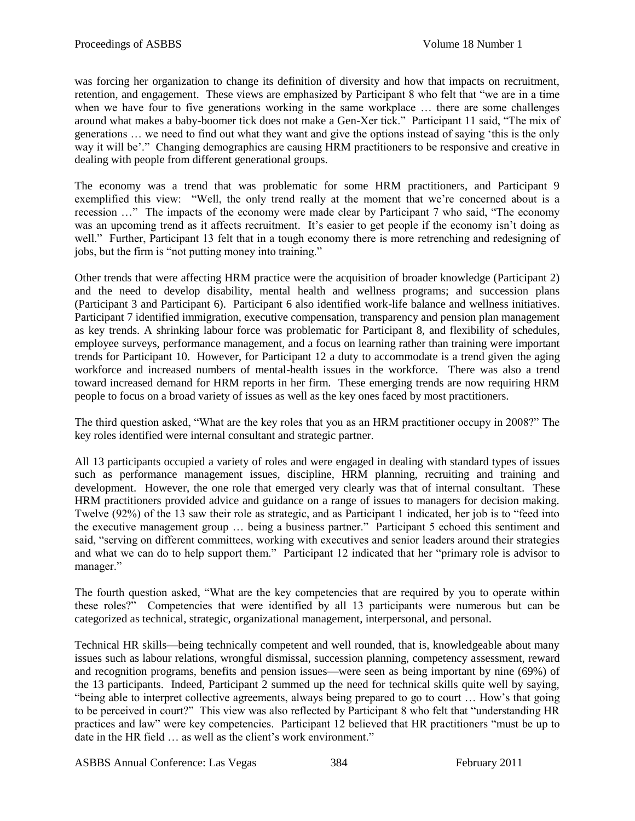was forcing her organization to change its definition of diversity and how that impacts on recruitment, retention, and engagement. These views are emphasized by Participant 8 who felt that "we are in a time" when we have four to five generations working in the same workplace ... there are some challenges around what makes a baby-boomer tick does not make a Gen-Xer tick." Participant 11 said, "The mix of generations ... we need to find out what they want and give the options instead of saying 'this is the only way it will be'." Changing demographics are causing HRM practitioners to be responsive and creative in dealing with people from different generational groups.

The economy was a trend that was problematic for some HRM practitioners, and Participant 9 exemplified this view: "Well, the only trend really at the moment that we're concerned about is a recession ..." The impacts of the economy were made clear by Participant 7 who said, "The economy was an upcoming trend as it affects recruitment. It's easier to get people if the economy isn't doing as well." Further, Participant 13 felt that in a tough economy there is more retrenching and redesigning of jobs, but the firm is "not putting money into training."

Other trends that were affecting HRM practice were the acquisition of broader knowledge (Participant 2) and the need to develop disability, mental health and wellness programs; and succession plans (Participant 3 and Participant 6). Participant 6 also identified work-life balance and wellness initiatives. Participant 7 identified immigration, executive compensation, transparency and pension plan management as key trends. A shrinking labour force was problematic for Participant 8, and flexibility of schedules, employee surveys, performance management, and a focus on learning rather than training were important trends for Participant 10. However, for Participant 12 a duty to accommodate is a trend given the aging workforce and increased numbers of mental-health issues in the workforce. There was also a trend toward increased demand for HRM reports in her firm. These emerging trends are now requiring HRM people to focus on a broad variety of issues as well as the key ones faced by most practitioners.

The third question asked, "What are the key roles that you as an HRM practitioner occupy in 2008?" The key roles identified were internal consultant and strategic partner.

All 13 participants occupied a variety of roles and were engaged in dealing with standard types of issues such as performance management issues, discipline, HRM planning, recruiting and training and development. However, the one role that emerged very clearly was that of internal consultant. These HRM practitioners provided advice and guidance on a range of issues to managers for decision making. Twelve (92%) of the 13 saw their role as strategic, and as Participant 1 indicated, her job is to "feed into the executive management group ... being a business partner." Participant 5 echoed this sentiment and said, "serving on different committees, working with executives and senior leaders around their strategies and what we can do to help support them." Participant 12 indicated that her "primary role is advisor to manager."

The fourth question asked, "What are the key competencies that are required by you to operate within these roles?‖ Competencies that were identified by all 13 participants were numerous but can be categorized as technical, strategic, organizational management, interpersonal, and personal.

Technical HR skills—being technically competent and well rounded, that is, knowledgeable about many issues such as labour relations, wrongful dismissal, succession planning, competency assessment, reward and recognition programs, benefits and pension issues—were seen as being important by nine (69%) of the 13 participants. Indeed, Participant 2 summed up the need for technical skills quite well by saying, "being able to interpret collective agreements, always being prepared to go to court ... How's that going to be perceived in court?" This view was also reflected by Participant 8 who felt that "understanding HR practices and law" were key competencies. Participant 12 believed that HR practitioners "must be up to date in the HR field ... as well as the client's work environment."

ASBBS Annual Conference: Las Vegas 384 February 2011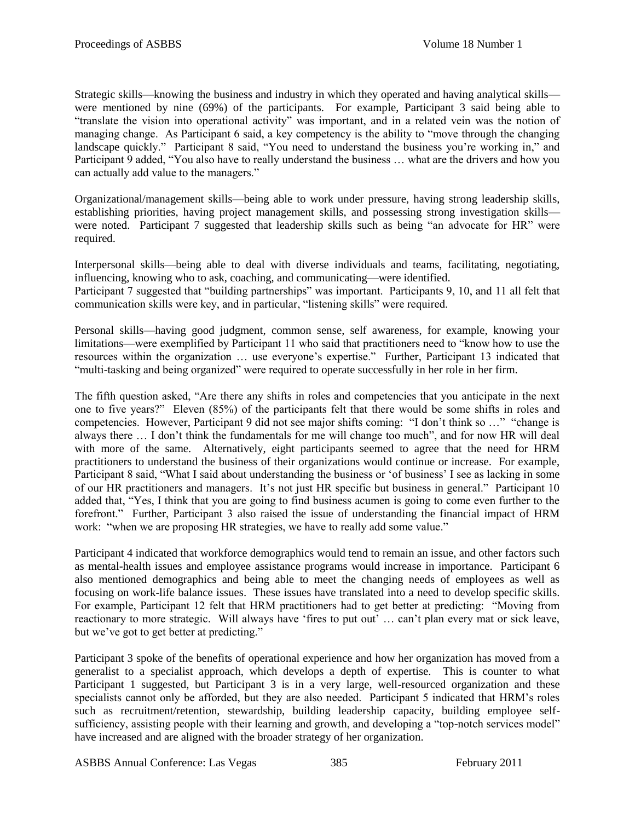Strategic skills—knowing the business and industry in which they operated and having analytical skills were mentioned by nine (69%) of the participants. For example, Participant 3 said being able to "translate the vision into operational activity" was important, and in a related vein was the notion of managing change. As Participant 6 said, a key competency is the ability to "move through the changing landscape quickly." Participant 8 said, "You need to understand the business you're working in," and Participant 9 added, "You also have to really understand the business ... what are the drivers and how you can actually add value to the managers."

Organizational/management skills—being able to work under pressure, having strong leadership skills, establishing priorities, having project management skills, and possessing strong investigation skills were noted. Participant 7 suggested that leadership skills such as being "an advocate for HR" were required.

Interpersonal skills—being able to deal with diverse individuals and teams, facilitating, negotiating, influencing, knowing who to ask, coaching, and communicating—were identified.

Participant 7 suggested that "building partnerships" was important. Participants 9, 10, and 11 all felt that communication skills were key, and in particular, "listening skills" were required.

Personal skills—having good judgment, common sense, self awareness, for example, knowing your limitations—were exemplified by Participant 11 who said that practitioners need to "know how to use the resources within the organization ... use everyone's expertise." Further, Participant 13 indicated that ―multi-tasking and being organized‖ were required to operate successfully in her role in her firm.

The fifth question asked, "Are there any shifts in roles and competencies that you anticipate in the next one to five years?‖ Eleven (85%) of the participants felt that there would be some shifts in roles and competencies. However, Participant 9 did not see major shifts coming: "I don't think so ..." "change is always there ... I don't think the fundamentals for me will change too much", and for now HR will deal with more of the same. Alternatively, eight participants seemed to agree that the need for HRM practitioners to understand the business of their organizations would continue or increase. For example, Participant 8 said, "What I said about understanding the business or 'of business' I see as lacking in some of our HR practitioners and managers. It's not just HR specific but business in general." Participant 10 added that, "Yes, I think that you are going to find business acumen is going to come even further to the forefront." Further, Participant 3 also raised the issue of understanding the financial impact of HRM work: "when we are proposing HR strategies, we have to really add some value."

Participant 4 indicated that workforce demographics would tend to remain an issue, and other factors such as mental-health issues and employee assistance programs would increase in importance. Participant 6 also mentioned demographics and being able to meet the changing needs of employees as well as focusing on work-life balance issues. These issues have translated into a need to develop specific skills. For example, Participant 12 felt that HRM practitioners had to get better at predicting: "Moving from reactionary to more strategic. Will always have 'fires to put out' ... can't plan every mat or sick leave, but we've got to get better at predicting."

Participant 3 spoke of the benefits of operational experience and how her organization has moved from a generalist to a specialist approach, which develops a depth of expertise. This is counter to what Participant 1 suggested, but Participant 3 is in a very large, well-resourced organization and these specialists cannot only be afforded, but they are also needed. Participant 5 indicated that HRM's roles such as recruitment/retention, stewardship, building leadership capacity, building employee selfsufficiency, assisting people with their learning and growth, and developing a "top-notch services model" have increased and are aligned with the broader strategy of her organization.

ASBBS Annual Conference: Las Vegas 385 February 2011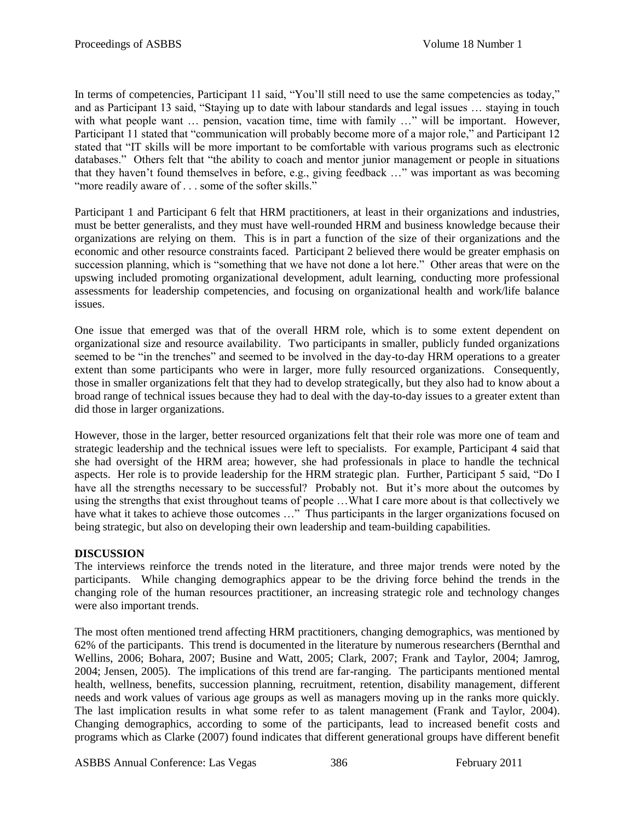In terms of competencies, Participant 11 said, "You'll still need to use the same competencies as today," and as Participant 13 said, "Staying up to date with labour standards and legal issues ... staying in touch with what people want ... pension, vacation time, time with family ..." will be important. However, Participant 11 stated that "communication will probably become more of a major role," and Participant 12 stated that "IT skills will be more important to be comfortable with various programs such as electronic databases." Others felt that "the ability to coach and mentor junior management or people in situations that they haven't found themselves in before, e.g., giving feedback ..." was important as was becoming "more readily aware of . . . some of the softer skills."

Participant 1 and Participant 6 felt that HRM practitioners, at least in their organizations and industries, must be better generalists, and they must have well-rounded HRM and business knowledge because their organizations are relying on them. This is in part a function of the size of their organizations and the economic and other resource constraints faced. Participant 2 believed there would be greater emphasis on succession planning, which is "something that we have not done a lot here." Other areas that were on the upswing included promoting organizational development, adult learning, conducting more professional assessments for leadership competencies, and focusing on organizational health and work/life balance issues.

One issue that emerged was that of the overall HRM role, which is to some extent dependent on organizational size and resource availability. Two participants in smaller, publicly funded organizations seemed to be "in the trenches" and seemed to be involved in the day-to-day HRM operations to a greater extent than some participants who were in larger, more fully resourced organizations. Consequently, those in smaller organizations felt that they had to develop strategically, but they also had to know about a broad range of technical issues because they had to deal with the day-to-day issues to a greater extent than did those in larger organizations.

However, those in the larger, better resourced organizations felt that their role was more one of team and strategic leadership and the technical issues were left to specialists. For example, Participant 4 said that she had oversight of the HRM area; however, she had professionals in place to handle the technical aspects. Her role is to provide leadership for the HRM strategic plan. Further, Participant 5 said, "Do I have all the strengths necessary to be successful? Probably not. But it's more about the outcomes by using the strengths that exist throughout teams of people …What I care more about is that collectively we have what it takes to achieve those outcomes ..." Thus participants in the larger organizations focused on being strategic, but also on developing their own leadership and team-building capabilities.

# **DISCUSSION**

The interviews reinforce the trends noted in the literature, and three major trends were noted by the participants. While changing demographics appear to be the driving force behind the trends in the changing role of the human resources practitioner, an increasing strategic role and technology changes were also important trends.

The most often mentioned trend affecting HRM practitioners, changing demographics, was mentioned by 62% of the participants. This trend is documented in the literature by numerous researchers (Bernthal and Wellins, 2006; Bohara, 2007; Busine and Watt, 2005; Clark, 2007; Frank and Taylor, 2004; Jamrog, 2004; Jensen, 2005). The implications of this trend are far-ranging. The participants mentioned mental health, wellness, benefits, succession planning, recruitment, retention, disability management, different needs and work values of various age groups as well as managers moving up in the ranks more quickly. The last implication results in what some refer to as talent management (Frank and Taylor, 2004). Changing demographics, according to some of the participants, lead to increased benefit costs and programs which as Clarke (2007) found indicates that different generational groups have different benefit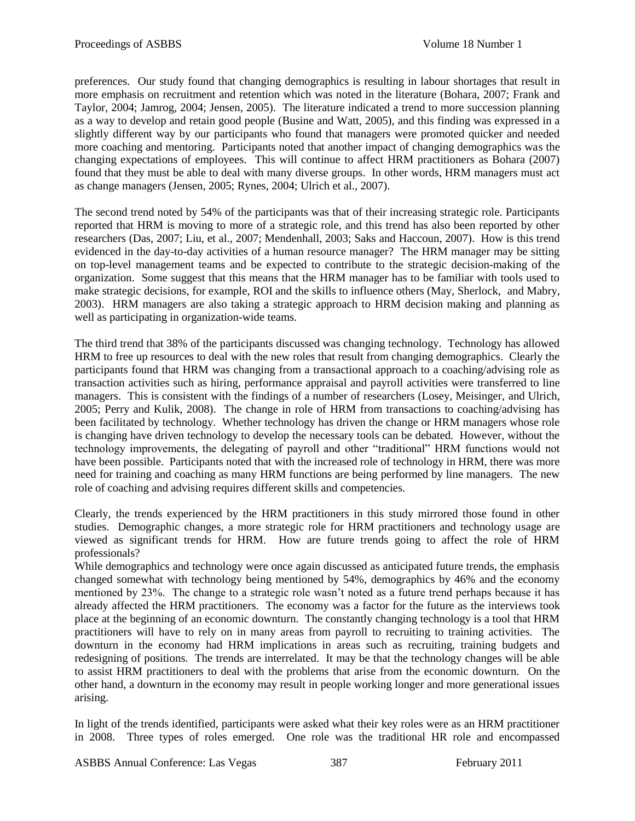preferences. Our study found that changing demographics is resulting in labour shortages that result in more emphasis on recruitment and retention which was noted in the literature (Bohara, 2007; Frank and Taylor, 2004; Jamrog, 2004; Jensen, 2005). The literature indicated a trend to more succession planning as a way to develop and retain good people (Busine and Watt, 2005), and this finding was expressed in a slightly different way by our participants who found that managers were promoted quicker and needed more coaching and mentoring. Participants noted that another impact of changing demographics was the changing expectations of employees. This will continue to affect HRM practitioners as Bohara (2007) found that they must be able to deal with many diverse groups. In other words, HRM managers must act as change managers (Jensen, 2005; Rynes, 2004; Ulrich et al., 2007).

The second trend noted by 54% of the participants was that of their increasing strategic role. Participants reported that HRM is moving to more of a strategic role, and this trend has also been reported by other researchers (Das, 2007; Liu, et al., 2007; Mendenhall, 2003; Saks and Haccoun, 2007). How is this trend evidenced in the day-to-day activities of a human resource manager? The HRM manager may be sitting on top-level management teams and be expected to contribute to the strategic decision-making of the organization. Some suggest that this means that the HRM manager has to be familiar with tools used to make strategic decisions, for example, ROI and the skills to influence others (May, Sherlock, and Mabry, 2003). HRM managers are also taking a strategic approach to HRM decision making and planning as well as participating in organization-wide teams.

The third trend that 38% of the participants discussed was changing technology. Technology has allowed HRM to free up resources to deal with the new roles that result from changing demographics. Clearly the participants found that HRM was changing from a transactional approach to a coaching/advising role as transaction activities such as hiring, performance appraisal and payroll activities were transferred to line managers. This is consistent with the findings of a number of researchers (Losey, Meisinger, and Ulrich, 2005; Perry and Kulik, 2008). The change in role of HRM from transactions to coaching/advising has been facilitated by technology. Whether technology has driven the change or HRM managers whose role is changing have driven technology to develop the necessary tools can be debated. However, without the technology improvements, the delegating of payroll and other "traditional" HRM functions would not have been possible. Participants noted that with the increased role of technology in HRM, there was more need for training and coaching as many HRM functions are being performed by line managers. The new role of coaching and advising requires different skills and competencies.

Clearly, the trends experienced by the HRM practitioners in this study mirrored those found in other studies. Demographic changes, a more strategic role for HRM practitioners and technology usage are viewed as significant trends for HRM. How are future trends going to affect the role of HRM professionals?

While demographics and technology were once again discussed as anticipated future trends, the emphasis changed somewhat with technology being mentioned by 54%, demographics by 46% and the economy mentioned by 23%. The change to a strategic role wasn't noted as a future trend perhaps because it has already affected the HRM practitioners. The economy was a factor for the future as the interviews took place at the beginning of an economic downturn. The constantly changing technology is a tool that HRM practitioners will have to rely on in many areas from payroll to recruiting to training activities. The downturn in the economy had HRM implications in areas such as recruiting, training budgets and redesigning of positions. The trends are interrelated. It may be that the technology changes will be able to assist HRM practitioners to deal with the problems that arise from the economic downturn. On the other hand, a downturn in the economy may result in people working longer and more generational issues arising.

In light of the trends identified, participants were asked what their key roles were as an HRM practitioner in 2008. Three types of roles emerged. One role was the traditional HR role and encompassed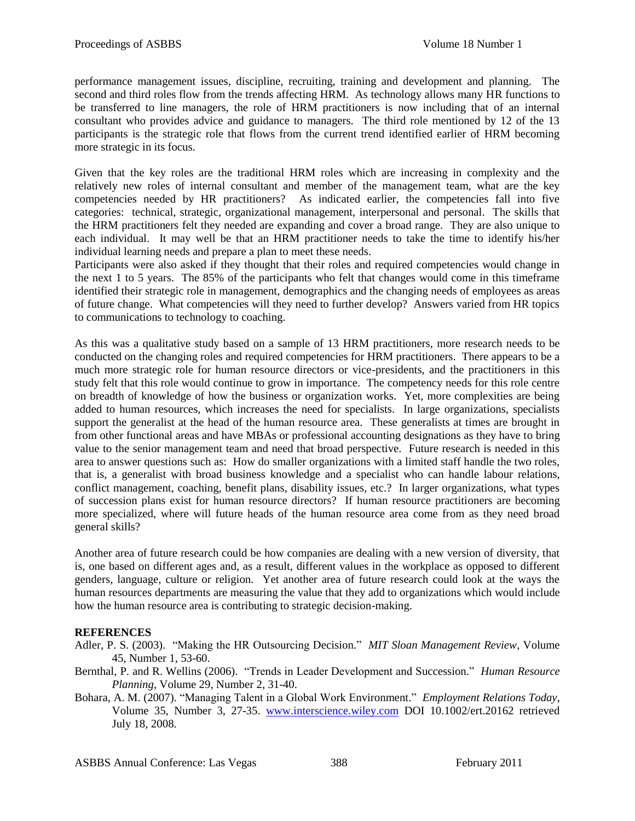performance management issues, discipline, recruiting, training and development and planning. The second and third roles flow from the trends affecting HRM. As technology allows many HR functions to be transferred to line managers, the role of HRM practitioners is now including that of an internal consultant who provides advice and guidance to managers. The third role mentioned by 12 of the 13 participants is the strategic role that flows from the current trend identified earlier of HRM becoming more strategic in its focus.

Given that the key roles are the traditional HRM roles which are increasing in complexity and the relatively new roles of internal consultant and member of the management team, what are the key competencies needed by HR practitioners? As indicated earlier, the competencies fall into five categories: technical, strategic, organizational management, interpersonal and personal. The skills that the HRM practitioners felt they needed are expanding and cover a broad range. They are also unique to each individual. It may well be that an HRM practitioner needs to take the time to identify his/her individual learning needs and prepare a plan to meet these needs.

Participants were also asked if they thought that their roles and required competencies would change in the next 1 to 5 years. The 85% of the participants who felt that changes would come in this timeframe identified their strategic role in management, demographics and the changing needs of employees as areas of future change. What competencies will they need to further develop? Answers varied from HR topics to communications to technology to coaching.

As this was a qualitative study based on a sample of 13 HRM practitioners, more research needs to be conducted on the changing roles and required competencies for HRM practitioners. There appears to be a much more strategic role for human resource directors or vice-presidents, and the practitioners in this study felt that this role would continue to grow in importance. The competency needs for this role centre on breadth of knowledge of how the business or organization works. Yet, more complexities are being added to human resources, which increases the need for specialists. In large organizations, specialists support the generalist at the head of the human resource area. These generalists at times are brought in from other functional areas and have MBAs or professional accounting designations as they have to bring value to the senior management team and need that broad perspective. Future research is needed in this area to answer questions such as: How do smaller organizations with a limited staff handle the two roles, that is, a generalist with broad business knowledge and a specialist who can handle labour relations, conflict management, coaching, benefit plans, disability issues, etc.? In larger organizations, what types of succession plans exist for human resource directors? If human resource practitioners are becoming more specialized, where will future heads of the human resource area come from as they need broad general skills?

Another area of future research could be how companies are dealing with a new version of diversity, that is, one based on different ages and, as a result, different values in the workplace as opposed to different genders, language, culture or religion. Yet another area of future research could look at the ways the human resources departments are measuring the value that they add to organizations which would include how the human resource area is contributing to strategic decision-making.

#### **REFERENCES**

- Adler, P. S. (2003). "Making the HR Outsourcing Decision." *MIT Sloan Management Review*, Volume 45, Number 1, 53-60.
- Bernthal, P. and R. Wellins (2006). "Trends in Leader Development and Succession." *Human Resource Planning*, Volume 29, Number 2, 31-40.
- Bohara, A. M. (2007). "Managing Talent in a Global Work Environment." *Employment Relations Today*, Volume 35, Number 3, 27-35. [www.interscience.wiley.com](http://www.interscience.wiley.com/) DOI 10.1002/ert.20162 retrieved July 18, 2008.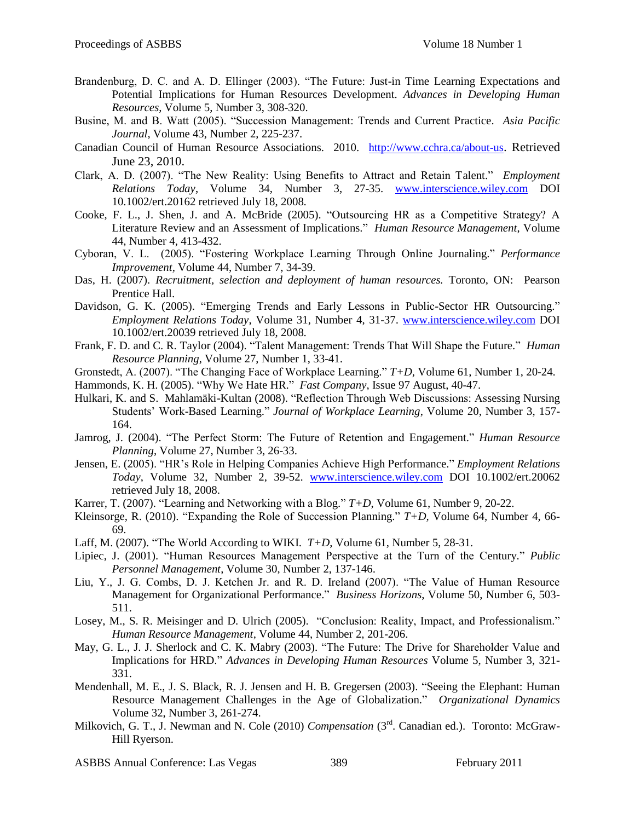- Brandenburg, D. C. and A. D. Ellinger (2003). "The Future: Just-in Time Learning Expectations and Potential Implications for Human Resources Development. *Advances in Developing Human Resources*, Volume 5, Number 3, 308-320.
- Busine, M. and B. Watt (2005). "Succession Management: Trends and Current Practice. Asia Pacific *Journal,* Volume 43, Number 2, 225-237.
- Canadian Council of Human Resource Associations. 2010. <http://www.cchra.ca/about-us>. Retrieved June 23, 2010.
- Clark, A. D. (2007). "The New Reality: Using Benefits to Attract and Retain Talent." *Employment Relations Today*, Volume 34, Number 3, 27-35. [www.interscience.wiley.com](http://www.interscience.wiley.com/) DOI 10.1002/ert.20162 retrieved July 18, 2008.
- Cooke, F. L., J. Shen, J. and A. McBride (2005). "Outsourcing HR as a Competitive Strategy? A Literature Review and an Assessment of Implications.‖ *Human Resource Management*, Volume 44, Number 4, 413-432.
- Cyboran, V. L. (2005). ―Fostering Workplace Learning Through Online Journaling.‖ *Performance Improvement,* Volume 44, Number 7, 34-39.
- Das, H. (2007). *Recruitment, selection and deployment of human resources.* Toronto, ON: Pearson Prentice Hall.
- Davidson, G. K. (2005). "Emerging Trends and Early Lessons in Public-Sector HR Outsourcing." *Employment Relations Today*, Volume 31, Number 4, 31-37. [www.interscience.wiley.com](http://www.interscience.wiley.com/) DOI 10.1002/ert.20039 retrieved July 18, 2008.
- Frank, F. D. and C. R. Taylor (2004). "Talent Management: Trends That Will Shape the Future." *Human Resource Planning*, Volume 27, Number 1, 33-41.
- Gronstedt, A. (2007). "The Changing Face of Workplace Learning."  $T+D$ , Volume 61, Number 1, 20-24.
- Hammonds, K. H. (2005). "Why We Hate HR." *Fast Company*, Issue 97 August, 40-47.
- Hulkari, K. and S. Mahlamäki-Kultan (2008). "Reflection Through Web Discussions: Assessing Nursing Students' Work-Based Learning." *Journal of Workplace Learning*, Volume 20, Number 3, 157-164.
- Jamrog, J. (2004). "The Perfect Storm: The Future of Retention and Engagement." *Human Resource Planning*, Volume 27, Number 3, 26-33.
- Jensen, E. (2005). "HR's Role in Helping Companies Achieve High Performance." *Employment Relations Today*, Volume 32, Number 2, 39-52. [www.interscience.wiley.com](http://www.interscience.wiley.com/) DOI 10.1002/ert.20062 retrieved July 18, 2008.
- Karrer, T. (2007). "Learning and Networking with a Blog."  $T+D$ , Volume 61, Number 9, 20-22.
- Kleinsorge, R. (2010). "Expanding the Role of Succession Planning."  $T+D$ , Volume 64, Number 4, 66-69.
- Laff, M. (2007). "The World According to WIKI. *T*+*D*, Volume 61, Number 5, 28-31.
- Lipiec, J. (2001). "Human Resources Management Perspective at the Turn of the Century." *Public Personnel Management*, Volume 30, Number 2, 137-146.
- Liu, Y., J. G. Combs, D. J. Ketchen Jr. and R. D. Ireland (2007). "The Value of Human Resource Management for Organizational Performance." *Business Horizons*, Volume 50, Number 6, 503-511.
- Losey, M., S. R. Meisinger and D. Ulrich (2005). "Conclusion: Reality, Impact, and Professionalism." *Human Resource Management*, Volume 44, Number 2, 201-206.
- May, G. L., J. J. Sherlock and C. K. Mabry (2003). "The Future: The Drive for Shareholder Value and Implications for HRD." *Advances in Developing Human Resources* Volume 5, Number 3, 321-331.
- Mendenhall, M. E., J. S. Black, R. J. Jensen and H. B. Gregersen (2003). "Seeing the Elephant: Human Resource Management Challenges in the Age of Globalization.‖ *Organizational Dynamics* Volume 32, Number 3, 261-274.
- Milkovich, G. T., J. Newman and N. Cole (2010) *Compensation* (3<sup>rd</sup>. Canadian ed.). Toronto: McGraw-Hill Ryerson.